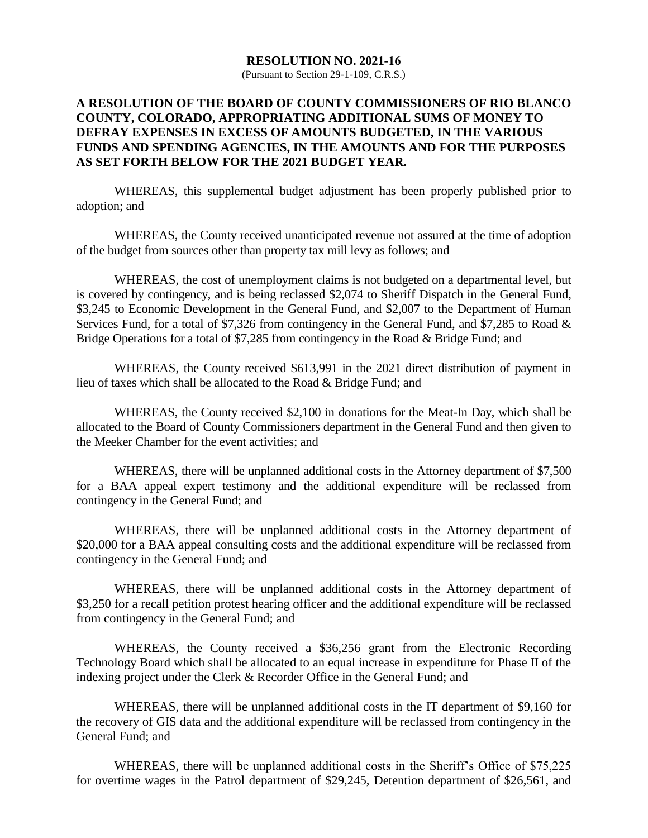#### **RESOLUTION NO. 2021-16**

(Pursuant to Section 29-1-109, C.R.S.)

## **A RESOLUTION OF THE BOARD OF COUNTY COMMISSIONERS OF RIO BLANCO COUNTY, COLORADO, APPROPRIATING ADDITIONAL SUMS OF MONEY TO DEFRAY EXPENSES IN EXCESS OF AMOUNTS BUDGETED, IN THE VARIOUS FUNDS AND SPENDING AGENCIES, IN THE AMOUNTS AND FOR THE PURPOSES AS SET FORTH BELOW FOR THE 2021 BUDGET YEAR.**

WHEREAS, this supplemental budget adjustment has been properly published prior to adoption; and

WHEREAS, the County received unanticipated revenue not assured at the time of adoption of the budget from sources other than property tax mill levy as follows; and

WHEREAS, the cost of unemployment claims is not budgeted on a departmental level, but is covered by contingency, and is being reclassed \$2,074 to Sheriff Dispatch in the General Fund, \$3,245 to Economic Development in the General Fund, and \$2,007 to the Department of Human Services Fund, for a total of \$7,326 from contingency in the General Fund, and \$7,285 to Road & Bridge Operations for a total of \$7,285 from contingency in the Road & Bridge Fund; and

WHEREAS, the County received \$613,991 in the 2021 direct distribution of payment in lieu of taxes which shall be allocated to the Road & Bridge Fund; and

WHEREAS, the County received \$2,100 in donations for the Meat-In Day, which shall be allocated to the Board of County Commissioners department in the General Fund and then given to the Meeker Chamber for the event activities; and

WHEREAS, there will be unplanned additional costs in the Attorney department of \$7,500 for a BAA appeal expert testimony and the additional expenditure will be reclassed from contingency in the General Fund; and

WHEREAS, there will be unplanned additional costs in the Attorney department of \$20,000 for a BAA appeal consulting costs and the additional expenditure will be reclassed from contingency in the General Fund; and

WHEREAS, there will be unplanned additional costs in the Attorney department of \$3,250 for a recall petition protest hearing officer and the additional expenditure will be reclassed from contingency in the General Fund; and

WHEREAS, the County received a \$36,256 grant from the Electronic Recording Technology Board which shall be allocated to an equal increase in expenditure for Phase II of the indexing project under the Clerk & Recorder Office in the General Fund; and

WHEREAS, there will be unplanned additional costs in the IT department of \$9,160 for the recovery of GIS data and the additional expenditure will be reclassed from contingency in the General Fund; and

WHEREAS, there will be unplanned additional costs in the Sheriff's Office of \$75,225 for overtime wages in the Patrol department of \$29,245, Detention department of \$26,561, and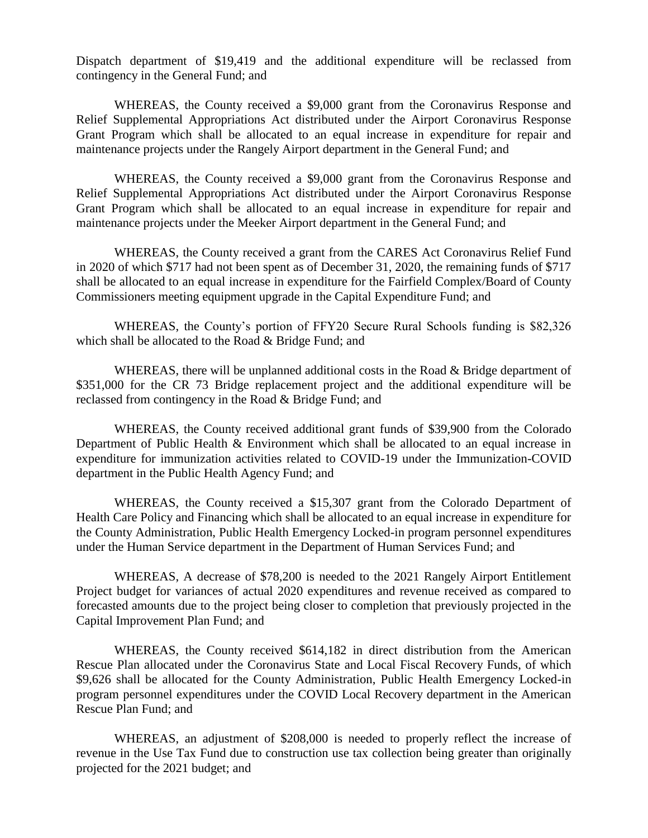Dispatch department of \$19,419 and the additional expenditure will be reclassed from contingency in the General Fund; and

WHEREAS, the County received a \$9,000 grant from the Coronavirus Response and Relief Supplemental Appropriations Act distributed under the Airport Coronavirus Response Grant Program which shall be allocated to an equal increase in expenditure for repair and maintenance projects under the Rangely Airport department in the General Fund; and

WHEREAS, the County received a \$9,000 grant from the Coronavirus Response and Relief Supplemental Appropriations Act distributed under the Airport Coronavirus Response Grant Program which shall be allocated to an equal increase in expenditure for repair and maintenance projects under the Meeker Airport department in the General Fund; and

WHEREAS, the County received a grant from the CARES Act Coronavirus Relief Fund in 2020 of which \$717 had not been spent as of December 31, 2020, the remaining funds of \$717 shall be allocated to an equal increase in expenditure for the Fairfield Complex/Board of County Commissioners meeting equipment upgrade in the Capital Expenditure Fund; and

WHEREAS, the County's portion of FFY20 Secure Rural Schools funding is \$82,326 which shall be allocated to the Road & Bridge Fund; and

WHEREAS, there will be unplanned additional costs in the Road & Bridge department of \$351,000 for the CR 73 Bridge replacement project and the additional expenditure will be reclassed from contingency in the Road & Bridge Fund; and

WHEREAS, the County received additional grant funds of \$39,900 from the Colorado Department of Public Health & Environment which shall be allocated to an equal increase in expenditure for immunization activities related to COVID-19 under the Immunization-COVID department in the Public Health Agency Fund; and

WHEREAS, the County received a \$15,307 grant from the Colorado Department of Health Care Policy and Financing which shall be allocated to an equal increase in expenditure for the County Administration, Public Health Emergency Locked-in program personnel expenditures under the Human Service department in the Department of Human Services Fund; and

WHEREAS, A decrease of \$78,200 is needed to the 2021 Rangely Airport Entitlement Project budget for variances of actual 2020 expenditures and revenue received as compared to forecasted amounts due to the project being closer to completion that previously projected in the Capital Improvement Plan Fund; and

WHEREAS, the County received \$614,182 in direct distribution from the American Rescue Plan allocated under the Coronavirus State and Local Fiscal Recovery Funds, of which \$9,626 shall be allocated for the County Administration, Public Health Emergency Locked-in program personnel expenditures under the COVID Local Recovery department in the American Rescue Plan Fund; and

WHEREAS, an adjustment of \$208,000 is needed to properly reflect the increase of revenue in the Use Tax Fund due to construction use tax collection being greater than originally projected for the 2021 budget; and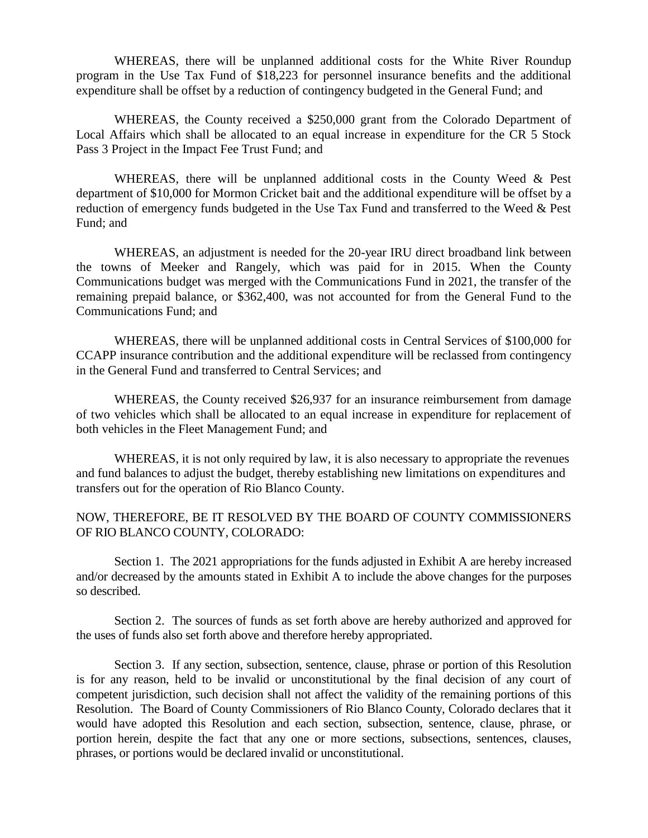WHEREAS, there will be unplanned additional costs for the White River Roundup program in the Use Tax Fund of \$18,223 for personnel insurance benefits and the additional expenditure shall be offset by a reduction of contingency budgeted in the General Fund; and

WHEREAS, the County received a \$250,000 grant from the Colorado Department of Local Affairs which shall be allocated to an equal increase in expenditure for the CR 5 Stock Pass 3 Project in the Impact Fee Trust Fund; and

WHEREAS, there will be unplanned additional costs in the County Weed  $\&$  Pest department of \$10,000 for Mormon Cricket bait and the additional expenditure will be offset by a reduction of emergency funds budgeted in the Use Tax Fund and transferred to the Weed & Pest Fund; and

WHEREAS, an adjustment is needed for the 20-year IRU direct broadband link between the towns of Meeker and Rangely, which was paid for in 2015. When the County Communications budget was merged with the Communications Fund in 2021, the transfer of the remaining prepaid balance, or \$362,400, was not accounted for from the General Fund to the Communications Fund; and

WHEREAS, there will be unplanned additional costs in Central Services of \$100,000 for CCAPP insurance contribution and the additional expenditure will be reclassed from contingency in the General Fund and transferred to Central Services; and

WHEREAS, the County received \$26,937 for an insurance reimbursement from damage of two vehicles which shall be allocated to an equal increase in expenditure for replacement of both vehicles in the Fleet Management Fund; and

WHEREAS, it is not only required by law, it is also necessary to appropriate the revenues and fund balances to adjust the budget, thereby establishing new limitations on expenditures and transfers out for the operation of Rio Blanco County.

## NOW, THEREFORE, BE IT RESOLVED BY THE BOARD OF COUNTY COMMISSIONERS OF RIO BLANCO COUNTY, COLORADO:

Section 1. The 2021 appropriations for the funds adjusted in Exhibit A are hereby increased and/or decreased by the amounts stated in Exhibit A to include the above changes for the purposes so described.

Section 2. The sources of funds as set forth above are hereby authorized and approved for the uses of funds also set forth above and therefore hereby appropriated.

Section 3. If any section, subsection, sentence, clause, phrase or portion of this Resolution is for any reason, held to be invalid or unconstitutional by the final decision of any court of competent jurisdiction, such decision shall not affect the validity of the remaining portions of this Resolution. The Board of County Commissioners of Rio Blanco County, Colorado declares that it would have adopted this Resolution and each section, subsection, sentence, clause, phrase, or portion herein, despite the fact that any one or more sections, subsections, sentences, clauses, phrases, or portions would be declared invalid or unconstitutional.